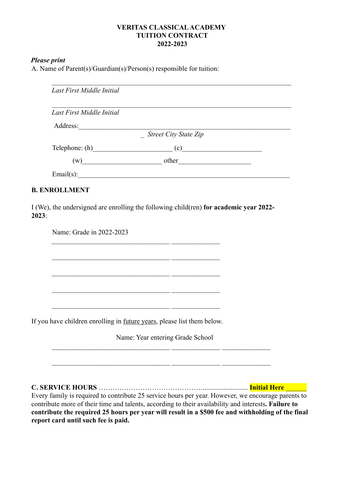### **VERITAS CLASSICALACADEMY TUITION CONTRACT 2022-2023**

#### *Please print*

A. Name of Parent(s)/Guardian(s)/Person(s) responsible for tuition:

| Last First Middle Initial |                                                |  |
|---------------------------|------------------------------------------------|--|
| Last First Middle Initial |                                                |  |
| Address:                  |                                                |  |
|                           | <b>Street City State Zip</b>                   |  |
| $\text{Telephone: (h)}$   | $\left( \begin{matrix} 0 \end{matrix} \right)$ |  |
| (w)                       | other                                          |  |
| Email $(s)$ :             |                                                |  |

\_\_\_\_\_\_\_\_\_\_\_\_\_\_\_\_\_\_\_\_\_\_\_\_\_\_\_\_\_\_\_\_\_\_ \_\_\_\_\_\_\_\_\_\_\_\_\_\_

### **B. ENROLLMENT**

I (We), the undersigned are enrolling the following child(ren) **for academic year 2022- 2023**:

Name: Grade in 2022-2023

If you have children enrolling in future years, please list them below.

 $\_$  , and the set of the set of the set of the set of the set of the set of the set of the set of the set of the set of the set of the set of the set of the set of the set of the set of the set of the set of the set of th

 $\_$  , and the set of the set of the set of the set of the set of the set of the set of the set of the set of the set of the set of the set of the set of the set of the set of the set of the set of the set of the set of th

 $\mathcal{L}_\text{max}$ 

\_\_\_\_\_\_\_\_\_\_\_\_\_\_\_\_\_\_\_\_\_\_\_\_\_\_\_\_\_\_\_\_\_\_ \_\_\_\_\_\_\_\_\_\_\_\_\_\_

Name: Year entering Grade School

 $\mathcal{L}_\text{max} = \frac{1}{2} \sum_{i=1}^n \mathcal{L}_\text{max}(\mathbf{z}_i - \mathbf{z}_i)$ 

**C. SERVICE HOURS** ……………………………………….......................... **Initial Here** \_\_\_\_\_\_

Every family is required to contribute 25 service hours per year. However, we encourage parents to contribute more of their time and talents, according to their availability and interests**. Failure to contribute the required 25 hours per year will result in a \$500 fee and withholding of the final report card until such fee is paid.**

\_\_\_\_\_\_\_\_\_\_\_\_\_\_\_\_\_\_\_\_\_\_\_\_\_\_\_\_\_\_\_\_\_\_ \_\_\_\_\_\_\_\_\_\_\_\_\_\_ \_\_\_\_\_\_\_\_\_\_\_\_\_\_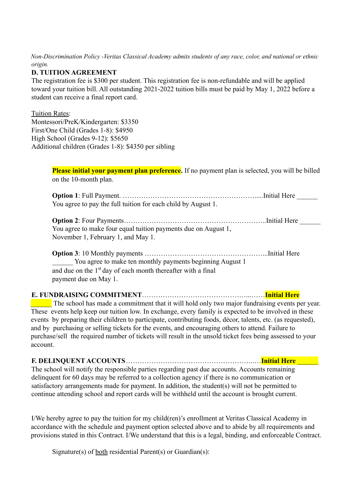*Non-Discrimination Policy -Veritas Classical Academy admits students of any race, color, and national or ethnic origin.*

## **D. TUITION AGREEMENT**

The registration fee is \$300 per student. This registration fee is non-refundable and will be applied toward your tuition bill. All outstanding 2021-2022 tuition bills must be paid by May 1, 2022 before a student can receive a final report card.

### Tuition Rates:

Montessori/PreK/Kindergarten: \$3350 First/One Child (Grades 1-8): \$4950 High School (Grades 9-12): \$5650 Additional children (Grades 1-8): \$4350 per sibling

> **Please initial your payment plan preference.** If no payment plan is selected, you will be billed on the 10-month plan.

**Option 1**: Full Payment. ………………………………………………….....Initial Here \_\_\_\_\_\_ You agree to pay the full tuition for each child by August 1.

**Option 2**: Four Payments……………………………………………………..Initial Here \_\_\_\_\_\_ You agree to make four equal tuition payments due on August 1, November 1, February 1, and May 1.

**Option 3**: 10 Monthly payments ……………………………………………...Initial Here \_\_\_\_\_\_ You agree to make ten monthly payments beginning August 1 and due on the  $1<sup>st</sup>$  day of each month thereafter with a final payment due on May 1.

# **E. FUNDRAISING COMMITMENT**………………………………………...……**Initial Here**

The school has made a commitment that it will hold only two major fundraising events per year. These events help keep our tuition low. In exchange, every family is expected to be involved in these events by preparing their children to participate, contributing foods, décor, talents, etc. (as requested), and by purchasing or selling tickets for the events, and encouraging others to attend. Failure to purchase/sell the required number of tickets will result in the unsold ticket fees being assessed to your account.

**F. DELINQUENT ACCOUNTS**………………………………………………..…**Initial Here** \_\_\_\_\_\_ The school will notify the responsible parties regarding past due accounts. Accounts remaining delinquent for 60 days may be referred to a collection agency if there is no communication or satisfactory arrangements made for payment. In addition, the student(s) will not be permitted to continue attending school and report cards will be withheld until the account is brought current.

I/We hereby agree to pay the tuition for my child(ren)'s enrollment at Veritas Classical Academy in accordance with the schedule and payment option selected above and to abide by all requirements and provisions stated in this Contract. I/We understand that this is a legal, binding, and enforceable Contract.

Signature(s) of both residential Parent(s) or Guardian(s):